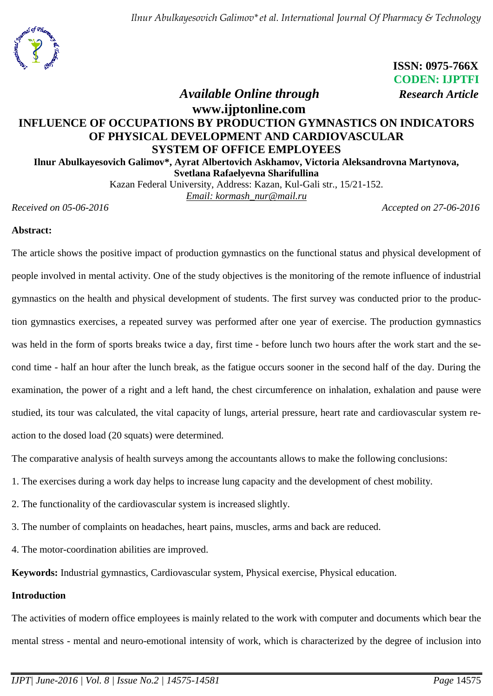

 **ISSN: 0975-766X CODEN: IJPTFI**  *Available Online through Research Article*

# **www.ijptonline.com INFLUENCE OF OCCUPATIONS BY PRODUCTION GYMNASTICS ON INDICATORS OF PHYSICAL DEVELOPMENT AND CARDIOVASCULAR SYSTEM OF OFFICE EMPLOYEES Ilnur Abulkayesovich Galimov\*, Ayrat Albertovich Askhamov, Victoria Aleksandrovna Martynova,**

**Svetlana Rafaelyevna Sharifullina**

Kazan Federal University, Address: Kazan, Kul-Gali str., 15/21-152. *Email: kormash\_nur@mail.ru*

*Received on 05-06-2016 Accepted on 27-06-2016*

### **Abstract:**

The article shows the positive impact of production gymnastics on the functional status and physical development of people involved in mental activity. One of the study objectives is the monitoring of the remote influence of industrial gymnastics on the health and physical development of students. The first survey was conducted prior to the production gymnastics exercises, a repeated survey was performed after one year of exercise. The production gymnastics was held in the form of sports breaks twice a day, first time - before lunch two hours after the work start and the second time - half an hour after the lunch break, as the fatigue occurs sooner in the second half of the day. During the examination, the power of a right and a left hand, the chest circumference on inhalation, exhalation and pause were studied, its tour was calculated, the vital capacity of lungs, arterial pressure, heart rate and cardiovascular system reaction to the dosed load (20 squats) were determined.

The comparative analysis of health surveys among the accountants allows to make the following conclusions:

- 1. The exercises during a work day helps to increase lung capacity and the development of chest mobility.
- 2. The functionality of the cardiovascular system is increased slightly.
- 3. The number of complaints on headaches, heart pains, muscles, arms and back are reduced.
- 4. The motor-coordination abilities are improved.

**Keywords:** Industrial gymnastics, Cardiovascular system, Physical exercise, Physical education.

#### **Introduction**

The activities of modern office employees is mainly related to the work with computer and documents which bear the mental stress - mental and neuro-emotional intensity of work, which is characterized by the degree of inclusion into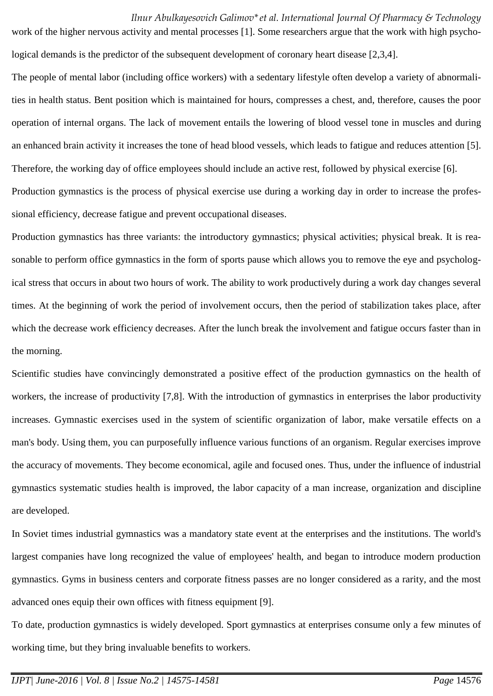work of the higher nervous activity and mental processes [1]. Some researchers argue that the work with high psychological demands is the predictor of the subsequent development of coronary heart disease [2,3,4].

The people of mental labor (including office workers) with a sedentary lifestyle often develop a variety of abnormalities in health status. Bent position which is maintained for hours, compresses a chest, and, therefore, causes the poor operation of internal organs. The lack of movement entails the lowering of blood vessel tone in muscles and during an enhanced brain activity it increases the tone of head blood vessels, which leads to fatigue and reduces attention [5]. Therefore, the working day of office employees should include an active rest, followed by physical exercise [6]. Production gymnastics is the process of physical exercise use during a working day in order to increase the professional efficiency, decrease fatigue and prevent occupational diseases.

Production gymnastics has three variants: the introductory gymnastics; physical activities; physical break. It is reasonable to perform office gymnastics in the form of sports pause which allows you to remove the eye and psychological stress that occurs in about two hours of work. The ability to work productively during a work day changes several times. At the beginning of work the period of involvement occurs, then the period of stabilization takes place, after which the decrease work efficiency decreases. After the lunch break the involvement and fatigue occurs faster than in the morning.

Scientific studies have convincingly demonstrated a positive effect of the production gymnastics on the health of workers, the increase of productivity [7,8]. With the introduction of gymnastics in enterprises the labor productivity increases. Gymnastic exercises used in the system of scientific organization of labor, make versatile effects on a man's body. Using them, you can purposefully influence various functions of an organism. Regular exercises improve the accuracy of movements. They become economical, agile and focused ones. Thus, under the influence of industrial gymnastics systematic studies health is improved, the labor capacity of a man increase, organization and discipline are developed.

In Soviet times industrial gymnastics was a mandatory state event at the enterprises and the institutions. The world's largest companies have long recognized the value of employees' health, and began to introduce modern production gymnastics. Gyms in business centers and corporate fitness passes are no longer considered as a rarity, and the most advanced ones equip their own offices with fitness equipment [9].

To date, production gymnastics is widely developed. Sport gymnastics at enterprises consume only a few minutes of working time, but they bring invaluable benefits to workers.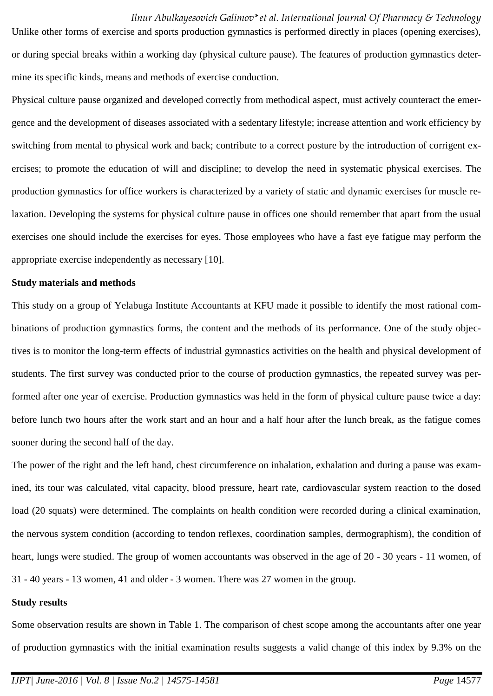Unlike other forms of exercise and sports production gymnastics is performed directly in places (opening exercises), or during special breaks within a working day (physical culture pause). The features of production gymnastics determine its specific kinds, means and methods of exercise conduction.

Physical culture pause organized and developed correctly from methodical aspect, must actively counteract the emergence and the development of diseases associated with a sedentary lifestyle; increase attention and work efficiency by switching from mental to physical work and back; contribute to a correct posture by the introduction of corrigent exercises; to promote the education of will and discipline; to develop the need in systematic physical exercises. The production gymnastics for office workers is characterized by a variety of static and dynamic exercises for muscle relaxation. Developing the systems for physical culture pause in offices one should remember that apart from the usual exercises one should include the exercises for eyes. Those employees who have a fast eye fatigue may perform the appropriate exercise independently as necessary [10].

#### **Study materials and methods**

This study on a group of Yelabuga Institute Accountants at KFU made it possible to identify the most rational combinations of production gymnastics forms, the content and the methods of its performance. One of the study objectives is to monitor the long-term effects of industrial gymnastics activities on the health and physical development of students. The first survey was conducted prior to the course of production gymnastics, the repeated survey was performed after one year of exercise. Production gymnastics was held in the form of physical culture pause twice a day: before lunch two hours after the work start and an hour and a half hour after the lunch break, as the fatigue comes sooner during the second half of the day.

The power of the right and the left hand, chest circumference on inhalation, exhalation and during a pause was examined, its tour was calculated, vital capacity, blood pressure, heart rate, cardiovascular system reaction to the dosed load (20 squats) were determined. The complaints on health condition were recorded during a clinical examination, the nervous system condition (according to tendon reflexes, coordination samples, dermographism), the condition of heart, lungs were studied. The group of women accountants was observed in the age of 20 - 30 years - 11 women, of 31 - 40 years - 13 women, 41 and older - 3 women. There was 27 women in the group.

#### **Study results**

Some observation results are shown in Table 1. The comparison of chest scope among the accountants after one year of production gymnastics with the initial examination results suggests a valid change of this index by 9.3% on the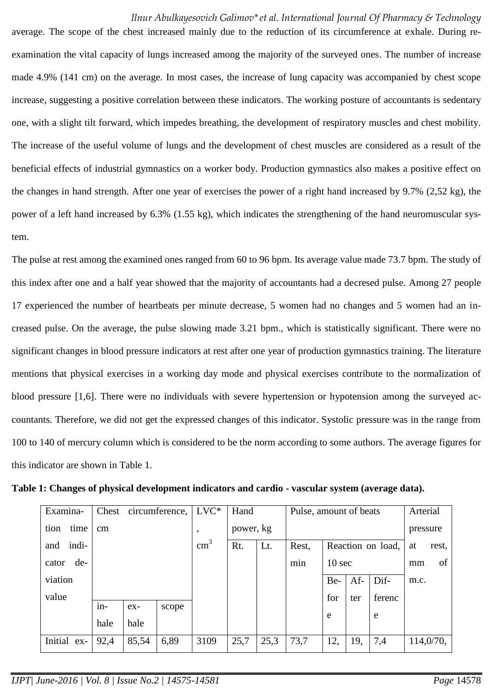average. The scope of the chest increased mainly due to the reduction of its circumference at exhale. During reexamination the vital capacity of lungs increased among the majority of the surveyed ones. The number of increase made 4.9% (141 cm) on the average. In most cases, the increase of lung capacity was accompanied by chest scope increase, suggesting a positive correlation between these indicators. The working posture of accountants is sedentary one, with a slight tilt forward, which impedes breathing, the development of respiratory muscles and chest mobility. The increase of the useful volume of lungs and the development of chest muscles are considered as a result of the beneficial effects of industrial gymnastics on a worker body. Production gymnastics also makes a positive effect on the changes in hand strength. After one year of exercises the power of a right hand increased by 9.7% (2,52 kg), the power of a left hand increased by 6.3% (1.55 kg), which indicates the strengthening of the hand neuromuscular system.

The pulse at rest among the examined ones ranged from 60 to 96 bpm. Its average value made 73.7 bpm. The study of this index after one and a half year showed that the majority of accountants had a decresed pulse. Among 27 people 17 experienced the number of heartbeats per minute decrease, 5 women had no changes and 5 women had an increased pulse. On the average, the pulse slowing made 3.21 bpm., which is statistically significant. There were no significant changes in blood pressure indicators at rest after one year of production gymnastics training. The literature mentions that physical exercises in a working day mode and physical exercises contribute to the normalization of blood pressure [1,6]. There were no individuals with severe hypertension or hypotension among the surveyed accountants. Therefore, we did not get the expressed changes of this indicator. Systolic pressure was in the range from 100 to 140 of mercury column which is considered to be the norm according to some authors. The average figures for this indicator are shown in Table 1.

| Examina-     | Chest<br>circumference, |       |       | $LVC*$        | Hand      |      | Pulse, amount of beats |                   |     |        | Arterial |           |
|--------------|-------------------------|-------|-------|---------------|-----------|------|------------------------|-------------------|-----|--------|----------|-----------|
| time<br>tion | $\rm cm$                |       |       | ,             | power, kg |      |                        | pressure          |     |        |          |           |
| indi-<br>and |                         |       |       | $\text{cm}^3$ | Rt.       | Lt.  | Rest,                  | Reaction on load, |     |        | at       | rest,     |
| de-<br>cator |                         |       |       |               |           | min  |                        | 10 <sub>sec</sub> |     |        | mm       | of        |
| viation      |                         |       |       |               |           |      |                        | Be-               | Af- | Dif-   | m.c.     |           |
| value        |                         |       |       |               |           |      |                        | for               | ter | ferenc |          |           |
|              | $in$ -                  | $ex-$ | scope |               |           |      |                        | e                 |     | e      |          |           |
|              | hale                    | hale  |       |               |           |      |                        |                   |     |        |          |           |
| Initial ex-  | 92,4                    | 85,54 | 6,89  | 3109          | 25,7      | 25,3 | 73,7                   | 12,               | 19, | 7,4    |          | 114,0/70, |

**Table 1: Changes of physical development indicators and cardio - vascular system (average data).**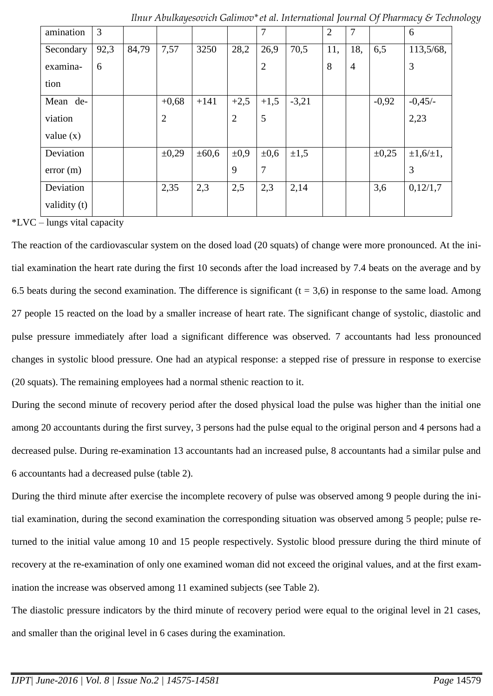| amination    | 3    |       |                |            |                | 7              |           | $\overline{2}$ | 7              |            | 6                |
|--------------|------|-------|----------------|------------|----------------|----------------|-----------|----------------|----------------|------------|------------------|
| Secondary    | 92,3 | 84,79 | 7,57           | 3250       | 28,2           | 26,9           | 70,5      | 11,            | 18,            | 6,5        | 113,5/68,        |
| examina-     | 6    |       |                |            |                | $\overline{2}$ |           | 8              | $\overline{4}$ |            | 3                |
| tion         |      |       |                |            |                |                |           |                |                |            |                  |
| Mean de-     |      |       | $+0,68$        | $+141$     | $+2,5$         | $+1,5$         | $-3,21$   |                |                | $-0,92$    | $-0,45/$         |
| viation      |      |       | $\overline{2}$ |            | $\overline{2}$ | 5              |           |                |                |            | 2,23             |
| value $(x)$  |      |       |                |            |                |                |           |                |                |            |                  |
| Deviation    |      |       | $\pm 0,29$     | $\pm 60,6$ | $\pm 0.9$      | $\pm 0,6$      | $\pm 1,5$ |                |                | $\pm 0.25$ | $\pm 1,6/\pm 1,$ |
| error(m)     |      |       |                |            | 9              | $\overline{7}$ |           |                |                |            | 3                |
| Deviation    |      |       | 2,35           | 2,3        | 2,5            | 2,3            | 2,14      |                |                | 3,6        | 0,12/1,7         |
| validity (t) |      |       |                |            |                |                |           |                |                |            |                  |

\*LVC – lungs vital capacity

The reaction of the cardiovascular system on the dosed load (20 squats) of change were more pronounced. At the initial examination the heart rate during the first 10 seconds after the load increased by 7.4 beats on the average and by 6.5 beats during the second examination. The difference is significant  $(t = 3.6)$  in response to the same load. Among 27 people 15 reacted on the load by a smaller increase of heart rate. The significant change of systolic, diastolic and pulse pressure immediately after load a significant difference was observed. 7 accountants had less pronounced changes in systolic blood pressure. One had an atypical response: a stepped rise of pressure in response to exercise (20 squats). The remaining employees had a normal sthenic reaction to it.

During the second minute of recovery period after the dosed physical load the pulse was higher than the initial one among 20 accountants during the first survey, 3 persons had the pulse equal to the original person and 4 persons had a decreased pulse. During re-examination 13 accountants had an increased pulse, 8 accountants had a similar pulse and 6 accountants had a decreased pulse (table 2).

During the third minute after exercise the incomplete recovery of pulse was observed among 9 people during the initial examination, during the second examination the corresponding situation was observed among 5 people; pulse returned to the initial value among 10 and 15 people respectively. Systolic blood pressure during the third minute of recovery at the re-examination of only one examined woman did not exceed the original values, and at the first examination the increase was observed among 11 examined subjects (see Table 2).

The diastolic pressure indicators by the third minute of recovery period were equal to the original level in 21 cases, and smaller than the original level in 6 cases during the examination.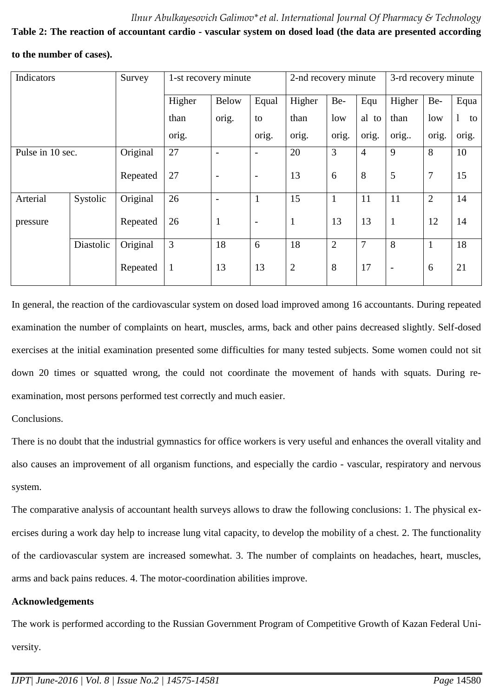# **Table 2: The reaction of accountant cardio - vascular system on dosed load (the data are presented according**

**to the number of cases).**

| Indicators       |           | Survey   | 1-st recovery minute |                          |                          | 2-nd recovery minute |                |                | 3-rd recovery minute     |                |         |
|------------------|-----------|----------|----------------------|--------------------------|--------------------------|----------------------|----------------|----------------|--------------------------|----------------|---------|
|                  |           |          | Higher               | <b>Below</b>             | Equal                    | Higher               | Be-            | Equ            | Higher                   | Be-            | Equa    |
|                  |           |          | than                 | orig.                    | to                       | than                 | low            | al<br>to       | than                     | low            | 1<br>to |
|                  |           |          | orig.                |                          | orig.                    | orig.                | orig.          | orig.          | orig                     | orig.          | orig.   |
| Pulse in 10 sec. |           | Original | 27                   | $\overline{\phantom{0}}$ | $\overline{\phantom{0}}$ | 20                   | 3              | $\overline{4}$ | 9                        | 8              | 10      |
|                  |           | Repeated | 27                   | $\overline{\phantom{a}}$ | $\overline{\phantom{a}}$ | 13                   | 6              | 8              | 5                        | 7              | 15      |
| Arterial         | Systolic  | Original | 26                   | $\overline{\phantom{0}}$ |                          | 15                   | $\mathbf{1}$   | 11             | 11                       | $\overline{2}$ | 14      |
| pressure         |           | Repeated | 26                   | $\mathbf{1}$             | $\overline{\phantom{a}}$ | $\mathbf{1}$         | 13             | 13             | $\mathbf{1}$             | 12             | 14      |
|                  | Diastolic | Original | 3                    | 18                       | 6                        | 18                   | $\overline{2}$ | 7              | 8                        | $\mathbf{1}$   | 18      |
|                  |           | Repeated | $\mathbf{1}$         | 13                       | 13                       | $\overline{2}$       | 8              | 17             | $\overline{\phantom{a}}$ | 6              | 21      |

In general, the reaction of the cardiovascular system on dosed load improved among 16 accountants. During repeated examination the number of complaints on heart, muscles, arms, back and other pains decreased slightly. Self-dosed exercises at the initial examination presented some difficulties for many tested subjects. Some women could not sit down 20 times or squatted wrong, the could not coordinate the movement of hands with squats. During reexamination, most persons performed test correctly and much easier.

Conclusions.

There is no doubt that the industrial gymnastics for office workers is very useful and enhances the overall vitality and also causes an improvement of all organism functions, and especially the cardio - vascular, respiratory and nervous system.

The comparative analysis of accountant health surveys allows to draw the following conclusions: 1. The physical exercises during a work day help to increase lung vital capacity, to develop the mobility of a chest. 2. The functionality of the cardiovascular system are increased somewhat. 3. The number of complaints on headaches, heart, muscles, arms and back pains reduces. 4. The motor-coordination abilities improve.

# **Acknowledgements**

The work is performed according to the Russian Government Program of Competitive Growth of Kazan Federal University.